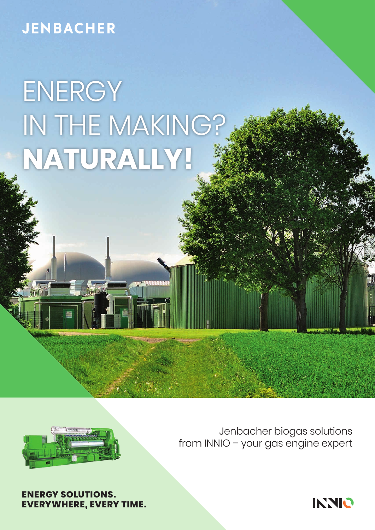### **JENBACHER**

# **ENERGY** IN THE MAKING? **NATURALLY!**



Jenbacher biogas solutions from INNIO – your gas engine expert



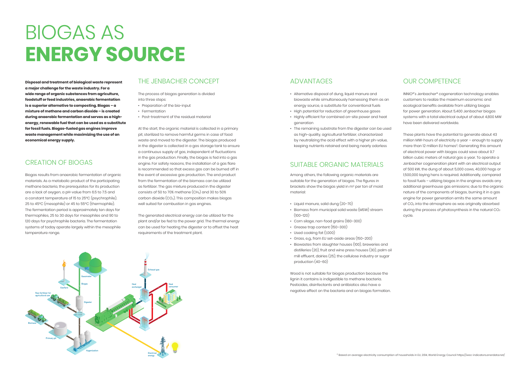## BIOGAS AS **ENERGY SOURCE**

#### ADVANTAGES

- Alternative disposal of dung, liquid manure and biowaste while simultaneously harnessing them as an energy source, a substitute for conventional fuels
- High potential for reduction of greenhouse gases
- Highly efficient for combined on-site power and heat generation
- The remaining substrate from the digester can be used as high-quality, agricultural fertilizer, characterized by neutralizing the acid effect with a higher ph-value, keeping nutrients retained and being nearly odorless

#### SUITABLE ORGANIC MATERIALS

Among others, the following organic materials are suitable for the generation of biogas. The figures in brackets show the biogas yield in m<sup>3</sup> per ton of moist material:

- Preparation of the bio-input
- Fermentation
- • Post-treatment of the residual material

- Liquid manure, solid dung (20–70)
- Biomass from municipal solid waste (MSW) stream  $(100-120)$
- • Corn silage, non-food grains (180–300)
- Grease trap content (150–300)
- Used cooking fat (1,000)
- • Grass, e.g., from EU set-aside areas (150–200)
- Biowastes from slaughter houses (100), breweries and distilleries (20), fruit and wine press houses (30), palm oil mill effluent, dairies (25), the cellulose industry or sugar production (40–60)

Wood is not suitable for biogas production because the lignin it contains is indigestible to methane bacteria. Pesticides, disinfectants and antibiotics also have a negative effect on the bacteria and on biogas formation.

#### THE JENBACHER CONCEPT

The process of biogas generation is divided into three steps:

At the start, the organic material is collected in a primary pit, sterilized to remove harmful germs in case of food waste and moved to the digester. The biogas produced in the digester is collected in a gas storage tank to ensure a continuous supply of gas, independent of fluctuations in the gas production. Finally, the biogas is fed into a gas engine. For safety reasons, the installation of a gas flare is recommended so that excess gas can be burned off in the event of excessive gas production. The end product from the fermentation of the biomass can be utilized as fertilizer. The gas mixture produced in the digester consists of 50 to 70% methane (CH4) and 30 to 50% carbon dioxide  $(CO_2)$ . This composition makes biogas well suited for combustion in gas engines.

The generated electrical energy can be utilized for the plant and/or be fed to the power grid. The thermal energy can be used for heating the digester or to offset the heat requirements of the treatment plant.

#### OUR COMPETENCE

INNIO\*'s Jenbacher\* cogeneration technology enables customers to realize the maximum economic and ecological benefits available from utilizing biogas for power generation. About 5,400 Jenbacher biogas systems with a total electrical output of about 4,800 MW have been delivered worldwide.

These plants have the potential to generate about 43 million MW-hours of electricity a year – enough to supply more than 12 million EU homes<sup>1)</sup>. Generating this amount of electrical power with biogas could save about 9.7 billion cubic meters of natural gas a year. To operate a Jenbacher cogeneration plant with an electrical output of 500 kW, the dung of about 5,000 cows, 40,000 hogs or 1,500,000 laying hens is required. Additionally, compared to fossil fuels – utilizing biogas in the engines avoids any additional greenhouse gas emissions; due to the organic nature of the components of biogas, burning it in a gas engine for power generation emits the same amount of CO2 into the atmosphere as was originally absorbed during the process of photosynthesis in the natural CO<sub>2</sub> cycle.



**Disposal and treatment of biological waste represent a major challenge for the waste industry. For a wide range of organic substances from agriculture, foodstuff or feed industries, anaerobic fermentation is a superior alternative to composting. Biogas – a mixture of methane and carbon dioxide – is created during anaerobic fermentation and serves as a highenergy, renewable fuel that can be used as a substitute for fossil fuels. Biogas-fueled gas engines improve waste management while maximizing the use of an economical energy supply.**

#### CREATION OF BIOGAS

Biogas results from anaerobic fermentation of organic materials. As a metabolic product of the participating methane bacteria, the prerequisites for its production are a lack of oxygen, a pH-value from 6.5 to 7.5 and a constant temperature of 15 to 25°C (psychrophile), 25 to 45°C (mesophile) or 45 to 55°C (thermophile). The fermentation period is approximately ten days for thermophiles, 25 to 30 days for mesophiles and 90 to 120 days for psychrophile bacteria. The fermentation systems of today operate largely within the mesophile temperature range.